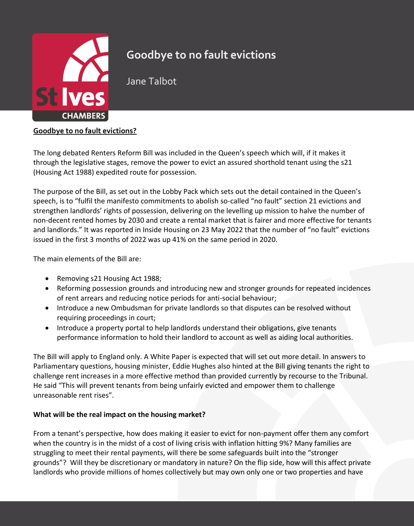

# **Goodbye to no fault evictions**

Jane Talbot

## **Goodbye to no fault evictions?**

The long debated Renters Reform Bill was included in the Queen's speech which will, if it makes it through the legislative stages, remove the power to evict an assured shorthold tenant using the s21 (Housing Act 1988) expedited route for possession.

The purpose of the Bill, as set out in the Lobby Pack which sets out the detail contained in the Queen's speech, is to "fulfil the manifesto commitments to abolish so-called "no fault" section 21 evictions and strengthen landlords' rights of possession, delivering on the levelling up mission to halve the number of non-decent rented homes by 2030 and create a rental market that is fairer and more effective for tenants and landlords." It was reported in Inside Housing on 23 May 2022 that the number of "no fault" evictions issued in the first 3 months of 2022 was up 41% on the same period in 2020.

The main elements of the Bill are:

- Removing s21 Housing Act 1988;
- Reforming possession grounds and introducing new and stronger grounds for repeated incidences of rent arrears and reducing notice periods for anti-social behaviour;
- Introduce a new Ombudsman for private landlords so that disputes can be resolved without requiring proceedings in court;
- Introduce a property portal to help landlords understand their obligations, give tenants performance information to hold their landlord to account as well as aiding local authorities.

The Bill will apply to England only. A White Paper is expected that will set out more detail. In answers to Parliamentary questions, housing minister, Eddie Hughes also hinted at the Bill giving tenants the right to challenge rent increases in a more effective method than provided currently by recourse to the Tribunal. He said "This will prevent tenants from being unfairly evicted and empower them to challenge unreasonable rent rises".

## **What will be the real impact on the housing market?**

From a tenant's perspective, how does making it easier to evict for non-payment offer them any comfort when the country is in the midst of a cost of living crisis with inflation hitting 9%? Many families are struggling to meet their rental payments, will there be some safeguards built into the "stronger grounds"? Will they be discretionary or mandatory in nature? On the flip side, how will this affect private landlords who provide millions of homes collectively but may own only one or two properties and have